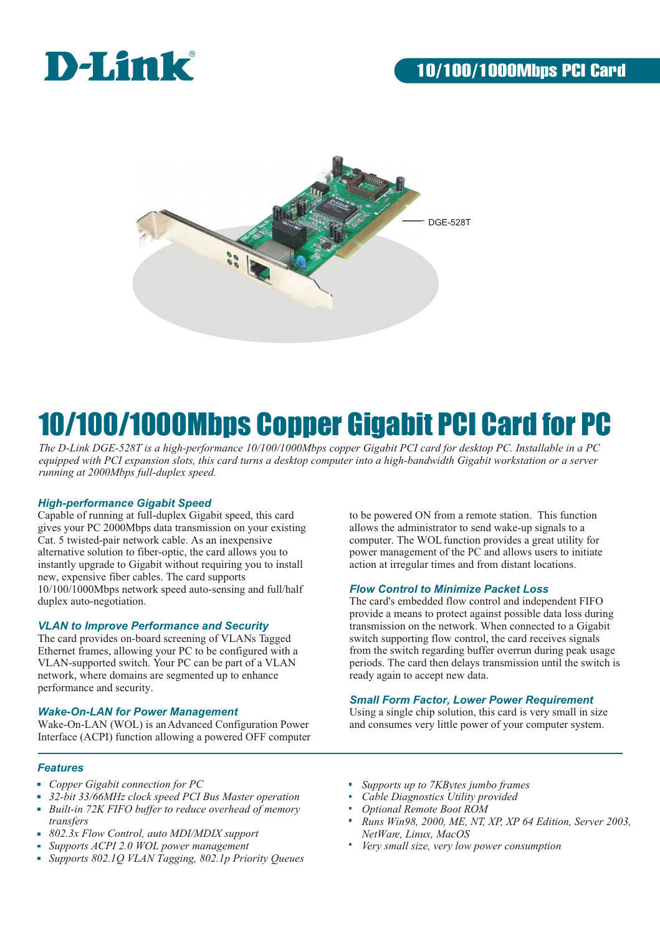



## 10/100/1000Mbps Copper Gigabit PCI Card for PC

*The D-Link DGE-528T is a high-performance 10/100/1000Mbps copper Gigabit PCI card for desktop PC. Installable in a PC equipped with PCI expansion slots, this card turns a desktop computer into a high-bandwidth Gigabit workstation or a server running at 2000Mbps full-duplex speed.*

#### *High-performance Gigabit Speed*

Capable of running at full-duplex Gigabit speed, this card gives your PC 2000Mbps data transmission on your existing Cat. 5 twisted-pair network cable. As an inexpensive alternative solution to fiber-optic, the card allows you to instantly upgrade to Gigabit without requiring you to install new, expensive fiber cables. The card supports 10/100/1000Mbps network speed auto-sensing and full/half duplex auto-negotiation.

#### *VLAN to Improve Performance and Security*

The card provides on-board screening of VLANs Tagged Ethernet frames, allowing your PC to be configured with a VLAN-supported switch. Your PC can be part of a VLAN network, where domains are segmented up to enhance performance and security.

#### *Wake-On-LAN for Power Management*

Wake-On-LAN (WOL) is an Advanced Configuration Power Interface (ACPI) function allowing a powered OFF computer

#### *Features*

- *Copper Gigabit connection for PC*
- *32-bit 33/66MHz clock speed PCI Bus Master operation*
- *Built-in 72K FIFO buffer to reduce overhead of memory transfers*
- *802.3x Flow Control, auto MDI/MDIX support*
- *Supports ACPI 2.0 WOL power management*
- *Supports 802.1Q VLAN Tagging, 802.1p Priority Queues*

to be powered ON from a remote station. This function allows the administrator to send wake-up signals to a computer. The WOL function provides a great utility for power management of the PC and allows users to initiate action at irregular times and from distant locations.

#### *Flow Control to Minimize Packet Loss*

The card's embedded flow control and independent FIFO provide a means to protect against possible data loss during transmission on the network. When connected to a Gigabit switch supporting flow control, the card receives signals from the switch regarding buffer overrun during peak usage periods. The card then delays transmission until the switch is ready again to accept new data.

#### *Small Form Factor, Lower Power Requirement*

Using a single chip solution, this card is very small in size and consumes very little power of your computer system.

- *Supports up to 7KBytes jumbo frames*
- *Cable Diagnostics Utility provided*
- *Optional Remote Boot ROM*
- *Runs Win98, 2000, ME, NT, XP, XP 64 Edition, Server 2003, NetWare, Linux, MacOS*
- *Very small size, very low power consumption*